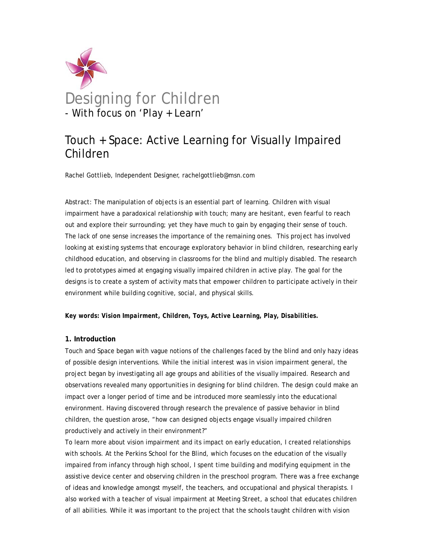

# Touch + Space: Active Learning for Visually Impaired Children

Rachel Gottlieb, Independent Designer, rachelgottlieb@msn.com

Abstract: The manipulation of objects is an essential part of learning. Children with visual impairment have a paradoxical relationship with touch; many are hesitant, even fearful to reach out and explore their surrounding; yet they have much to gain by engaging their sense of touch. The lack of one sense increases the importance of the remaining ones. This project has involved looking at existing systems that encourage exploratory behavior in blind children, researching early childhood education, and observing in classrooms for the blind and multiply disabled. The research led to prototypes aimed at engaging visually impaired children in active play. The goal for the designs is to create a system of activity mats that empower children to participate actively in their environment while building cognitive, social, and physical skills.

#### *Key words: Vision Impairment, Children, Toys, Active Learning, Play, Disabilities.*

#### **1. Introduction**

Touch and Space began with vague notions of the challenges faced by the blind and only hazy ideas of possible design interventions. While the initial interest was in vision impairment general, the project began by investigating all age groups and abilities of the visually impaired. Research and observations revealed many opportunities in designing for blind children. The design could make an impact over a longer period of time and be introduced more seamlessly into the educational environment. Having discovered through research the prevalence of passive behavior in blind children, the question arose, "how can designed objects engage visually impaired children productively and actively in their environment?"

To learn more about vision impairment and its impact on early education, I created relationships with schools. At the Perkins School for the Blind, which focuses on the education of the visually impaired from infancy through high school, I spent time building and modifying equipment in the assistive device center and observing children in the preschool program. There was a free exchange of ideas and knowledge amongst myself, the teachers, and occupational and physical therapists. I also worked with a teacher of visual impairment at Meeting Street, a school that educates children of all abilities. While it was important to the project that the schools taught children with vision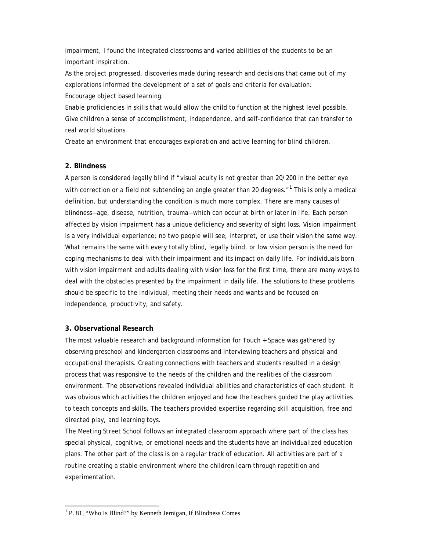impairment, I found the integrated classrooms and varied abilities of the students to be an important inspiration.

As the project progressed, discoveries made during research and decisions that came out of my explorations informed the development of a set of goals and criteria for evaluation: Encourage object based learning.

Enable proficiencies in skills that would allow the child to function at the highest level possible. Give children a sense of accomplishment, independence, and self-confidence that can transfer to real world situations.

Create an environment that encourages exploration and active learning for blind children.

# **2. Blindness**

A person is considered legally blind if "visual acuity is not greater than 20/200 in the better eye with correction or a field not subtending an angle greater than 20 degrees."**<sup>1</sup>** This is only a medical definition, but understanding the condition is much more complex. There are many causes of blindness—age, disease, nutrition, trauma—which can occur at birth or later in life. Each person affected by vision impairment has a unique deficiency and severity of sight loss. Vision impairment is a very individual experience; no two people will see, interpret, or use their vision the same way. What remains the same with every totally blind, legally blind, or low vision person is the need for coping mechanisms to deal with their impairment and its impact on daily life. For individuals born with vision impairment and adults dealing with vision loss for the first time, there are many ways to deal with the obstacles presented by the impairment in daily life. The solutions to these problems should be specific to the individual, meeting their needs and wants and be focused on independence, productivity, and safety.

# **3. Observational Research**

The most valuable research and background information for Touch + Space was gathered by observing preschool and kindergarten classrooms and interviewing teachers and physical and occupational therapists. Creating connections with teachers and students resulted in a design process that was responsive to the needs of the children and the realities of the classroom environment. The observations revealed individual abilities and characteristics of each student. It was obvious which activities the children enjoyed and how the teachers guided the play activities to teach concepts and skills. The teachers provided expertise regarding skill acquisition, free and directed play, and learning toys.

The Meeting Street School follows an integrated classroom approach where part of the class has special physical, cognitive, or emotional needs and the students have an individualized education plans. The other part of the class is on a regular track of education. All activities are part of a routine creating a stable environment where the children learn through repetition and experimentation.

<sup>&</sup>lt;sup>1</sup> P. 81, "Who Is Blind?" by Kenneth Jernigan, If Blindness Comes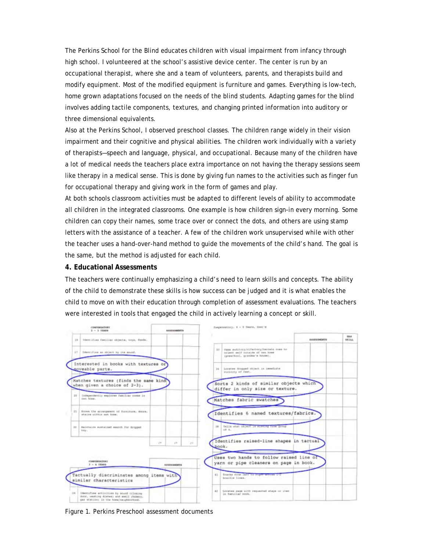The Perkins School for the Blind educates children with visual impairment from infancy through high school. I volunteered at the school's assistive device center. The center is run by an occupational therapist, where she and a team of volunteers, parents, and therapists build and modify equipment. Most of the modified equipment is furniture and games. Everything is low-tech, home grown adaptations focused on the needs of the blind students. Adapting games for the blind involves adding tactile components, textures, and changing printed information into auditory or three dimensional equivalents.

Also at the Perkins School, I observed preschool classes. The children range widely in their vision impairment and their cognitive and physical abilities. The children work individually with a variety of therapists—speech and language, physical, and occupational. Because many of the children have a lot of medical needs the teachers place extra importance on not having the therapy sessions seem like therapy in a medical sense. This is done by giving fun names to the activities such as finger fun for occupational therapy and giving work in the form of games and play.

At both schools classroom activities must be adapted to different levels of ability to accommodate all children in the integrated classrooms. One example is how children sign-in every morning. Some children can copy their names, some trace over or connect the dots, and others are using stamp letters with the assistance of a teacher. A few of the children work unsupervised while with other the teacher uses a hand-over-hand method to guide the movements of the child's hand. The goal is the same, but the method is adjusted for each child.

#### **4. Educational Assessments**

The teachers were continually emphasizing a child's need to learn skills and concepts. The ability of the child to demonstrate these skills is how success can be judged and it is what enables the child to move on with their education through completion of assessment evaluations. The teachers were interested in tools that engaged the child in actively learning a concept or skill.



Figure 1. Perkins Preschool assessment documents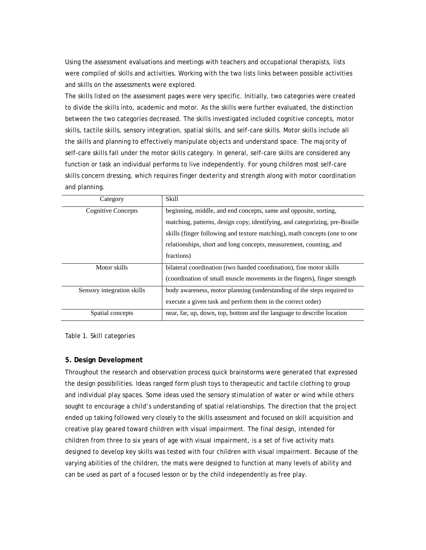Using the assessment evaluations and meetings with teachers and occupational therapists, lists were compiled of skills and activities. Working with the two lists links between possible activities and skills on the assessments were explored.

The skills listed on the assessment pages were very specific. Initially, two categories were created to divide the skills into, academic and motor. As the skills were further evaluated, the distinction between the two categories decreased. The skills investigated included cognitive concepts, motor skills, tactile skills, sensory integration, spatial skills, and self-care skills. Motor skills include all the skills and planning to effectively manipulate objects and understand space. The majority of self-care skills fall under the motor skills category. In general, self-care skills are considered any function or task an individual performs to live independently. For young children most self-care skills concern dressing, which requires finger dexterity and strength along with motor coordination and planning.

| Category                   | Skill                                                                       |
|----------------------------|-----------------------------------------------------------------------------|
| Cognitive Concepts         | beginning, middle, and end concepts, same and opposite, sorting,            |
|                            | matching, patterns, design copy, identifying, and categorizing, pre-Braille |
|                            | skills (finger following and texture matching), math concepts (one to one   |
|                            | relationships, short and long concepts, measurement, counting, and          |
|                            | fractions)                                                                  |
| Motor skills               | bilateral coordination (two handed coordination), fine motor skills         |
|                            | (coordination of small muscle movements in the fingers), finger strength    |
| Sensory integration skills | body awareness, motor planning (understanding of the steps required to      |
|                            | execute a given task and perform them in the correct order)                 |
| Spatial concepts           | near, far, up, down, top, bottom and the language to describe location      |

Table 1. Skill categories

#### **5. Design Development**

Throughout the research and observation process quick brainstorms were generated that expressed the design possibilities. Ideas ranged form plush toys to therapeutic and tactile clothing to group and individual play spaces. Some ideas used the sensory stimulation of water or wind while others sought to encourage a child's understanding of spatial relationships. The direction that the project ended up taking followed very closely to the skills assessment and focused on skill acquisition and creative play geared toward children with visual impairment. The final design, intended for children from three to six years of age with visual impairment, is a set of five activity mats designed to develop key skills was tested with four children with visual impairment. Because of the varying abilities of the children, the mats were designed to function at many levels of ability and can be used as part of a focused lesson or by the child independently as free play.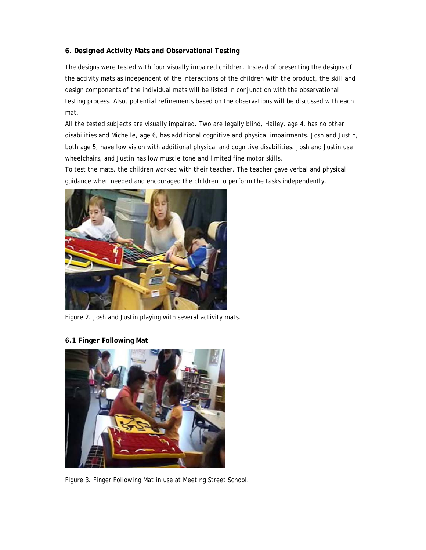# **6. Designed Activity Mats and Observational Testing**

The designs were tested with four visually impaired children. Instead of presenting the designs of the activity mats as independent of the interactions of the children with the product, the skill and design components of the individual mats will be listed in conjunction with the observational testing process. Also, potential refinements based on the observations will be discussed with each mat.

All the tested subjects are visually impaired. Two are legally blind, Hailey, age 4, has no other disabilities and Michelle, age 6, has additional cognitive and physical impairments. Josh and Justin, both age 5, have low vision with additional physical and cognitive disabilities. Josh and Justin use wheelchairs, and Justin has low muscle tone and limited fine motor skills.

To test the mats, the children worked with their teacher. The teacher gave verbal and physical guidance when needed and encouraged the children to perform the tasks independently.



Figure 2. Josh and Justin playing with several activity mats.

**6.1 Finger Following Mat** 



Figure 3. Finger Following Mat in use at Meeting Street School.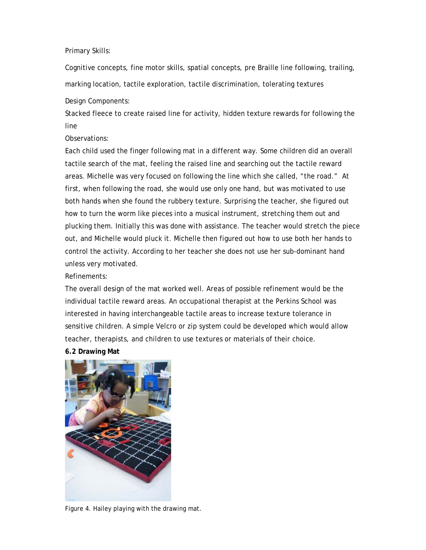## Primary Skills:

Cognitive concepts, fine motor skills, spatial concepts, pre Braille line following, trailing, marking location, tactile exploration, tactile discrimination, tolerating textures

# Design Components:

Stacked fleece to create raised line for activity, hidden texture rewards for following the line

# Observations:

Each child used the finger following mat in a different way. Some children did an overall tactile search of the mat, feeling the raised line and searching out the tactile reward areas. Michelle was very focused on following the line which she called, "the road." At first, when following the road, she would use only one hand, but was motivated to use both hands when she found the rubbery texture. Surprising the teacher, she figured out how to turn the worm like pieces into a musical instrument, stretching them out and plucking them. Initially this was done with assistance. The teacher would stretch the piece out, and Michelle would pluck it. Michelle then figured out how to use both her hands to control the activity. According to her teacher she does not use her sub-dominant hand unless very motivated.

## Refinements:

The overall design of the mat worked well. Areas of possible refinement would be the individual tactile reward areas. An occupational therapist at the Perkins School was interested in having interchangeable tactile areas to increase texture tolerance in sensitive children. A simple Velcro or zip system could be developed which would allow teacher, therapists, and children to use textures or materials of their choice.

# **6.2 Drawing Mat**



Figure 4. Hailey playing with the drawing mat.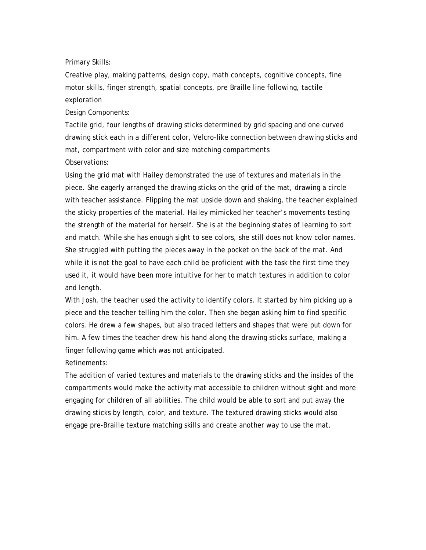Primary Skills:

Creative play, making patterns, design copy, math concepts, cognitive concepts, fine motor skills, finger strength, spatial concepts, pre Braille line following, tactile exploration

Design Components:

Tactile grid, four lengths of drawing sticks determined by grid spacing and one curved drawing stick each in a different color, Velcro-like connection between drawing sticks and mat, compartment with color and size matching compartments Observations:

Using the grid mat with Hailey demonstrated the use of textures and materials in the piece. She eagerly arranged the drawing sticks on the grid of the mat, drawing a circle with teacher assistance. Flipping the mat upside down and shaking, the teacher explained the sticky properties of the material. Hailey mimicked her teacher's movements testing the strength of the material for herself. She is at the beginning states of learning to sort and match. While she has enough sight to see colors, she still does not know color names. She struggled with putting the pieces away in the pocket on the back of the mat. And while it is not the goal to have each child be proficient with the task the first time they used it, it would have been more intuitive for her to match textures in addition to color and length.

With Josh, the teacher used the activity to identify colors. It started by him picking up a piece and the teacher telling him the color. Then she began asking him to find specific colors. He drew a few shapes, but also traced letters and shapes that were put down for him. A few times the teacher drew his hand along the drawing sticks surface, making a finger following game which was not anticipated.

Refinements:

The addition of varied textures and materials to the drawing sticks and the insides of the compartments would make the activity mat accessible to children without sight and more engaging for children of all abilities. The child would be able to sort and put away the drawing sticks by length, color, and texture. The textured drawing sticks would also engage pre-Braille texture matching skills and create another way to use the mat.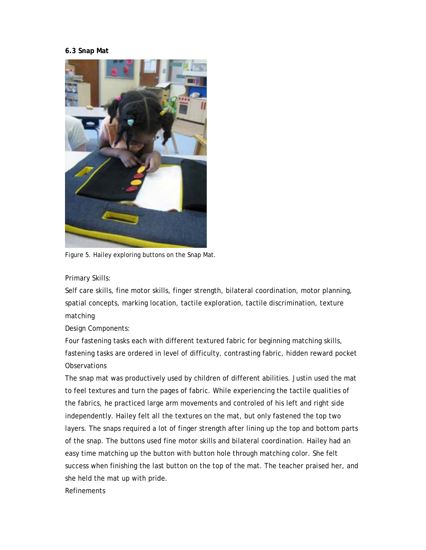## **6.3 Snap Mat**



Figure 5. Hailey exploring buttons on the Snap Mat.

Primary Skills:

Self care skills, fine motor skills, finger strength, bilateral coordination, motor planning, spatial concepts, marking location, tactile exploration, tactile discrimination, texture matching

Design Components:

Four fastening tasks each with different textured fabric for beginning matching skills, fastening tasks are ordered in level of difficulty, contrasting fabric, hidden reward pocket **Observations** 

The snap mat was productively used by children of different abilities. Justin used the mat to feel textures and turn the pages of fabric. While experiencing the tactile qualities of the fabrics, he practiced large arm movements and controled of his left and right side independently. Hailey felt all the textures on the mat, but only fastened the top two layers. The snaps required a lot of finger strength after lining up the top and bottom parts of the snap. The buttons used fine motor skills and bilateral coordination. Hailey had an easy time matching up the button with button hole through matching color. She felt success when finishing the last button on the top of the mat. The teacher praised her, and she held the mat up with pride.

Refinements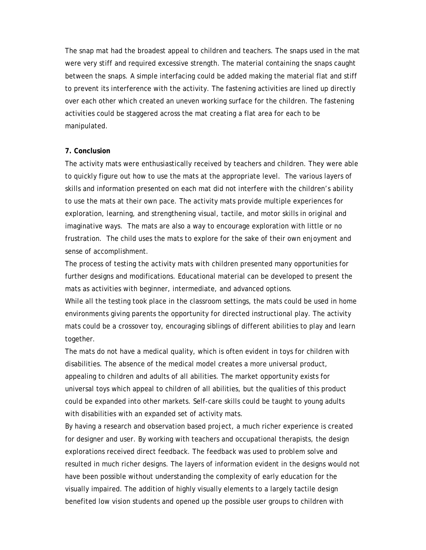The snap mat had the broadest appeal to children and teachers. The snaps used in the mat were very stiff and required excessive strength. The material containing the snaps caught between the snaps. A simple interfacing could be added making the material flat and stiff to prevent its interference with the activity. The fastening activities are lined up directly over each other which created an uneven working surface for the children. The fastening activities could be staggered across the mat creating a flat area for each to be manipulated.

#### **7. Conclusion**

The activity mats were enthusiastically received by teachers and children. They were able to quickly figure out how to use the mats at the appropriate level. The various layers of skills and information presented on each mat did not interfere with the children's ability to use the mats at their own pace. The activity mats provide multiple experiences for exploration, learning, and strengthening visual, tactile, and motor skills in original and imaginative ways. The mats are also a way to encourage exploration with little or no frustration. The child uses the mats to explore for the sake of their own enjoyment and sense of accomplishment.

The process of testing the activity mats with children presented many opportunities for further designs and modifications. Educational material can be developed to present the mats as activities with beginner, intermediate, and advanced options.

While all the testing took place in the classroom settings, the mats could be used in home environments giving parents the opportunity for directed instructional play. The activity mats could be a crossover toy, encouraging siblings of different abilities to play and learn together.

The mats do not have a medical quality, which is often evident in toys for children with disabilities. The absence of the medical model creates a more universal product, appealing to children and adults of all abilities. The market opportunity exists for universal toys which appeal to children of all abilities, but the qualities of this product could be expanded into other markets. Self-care skills could be taught to young adults with disabilities with an expanded set of activity mats.

By having a research and observation based project, a much richer experience is created for designer and user. By working with teachers and occupational therapists, the design explorations received direct feedback. The feedback was used to problem solve and resulted in much richer designs. The layers of information evident in the designs would not have been possible without understanding the complexity of early education for the visually impaired. The addition of highly visually elements to a largely tactile design benefited low vision students and opened up the possible user groups to children with